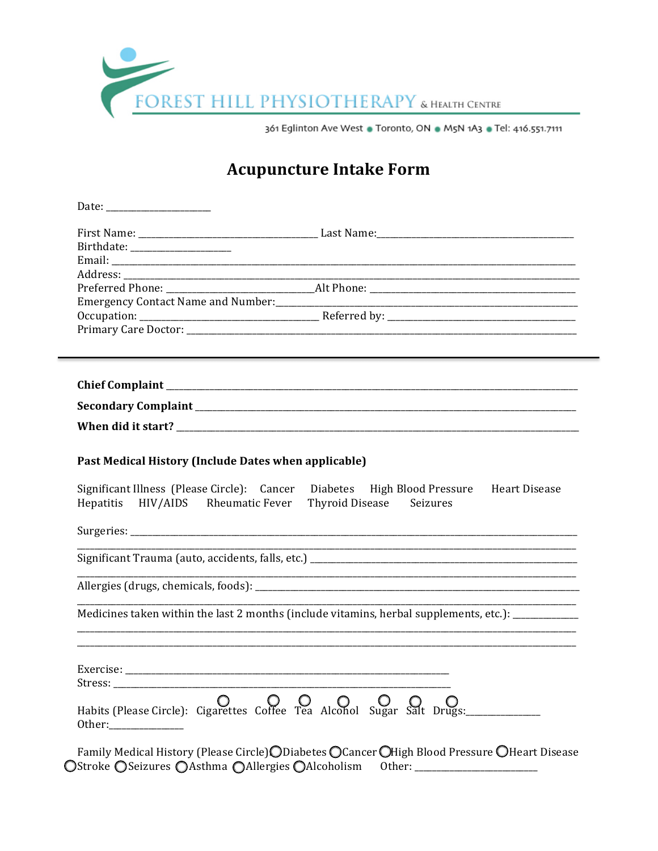

## **Acupuncture Intake Form**

| Birthdate: ____________________                      |                                                                                                                       |
|------------------------------------------------------|-----------------------------------------------------------------------------------------------------------------------|
|                                                      |                                                                                                                       |
|                                                      |                                                                                                                       |
|                                                      |                                                                                                                       |
|                                                      |                                                                                                                       |
|                                                      |                                                                                                                       |
|                                                      |                                                                                                                       |
|                                                      |                                                                                                                       |
|                                                      |                                                                                                                       |
|                                                      |                                                                                                                       |
| Past Medical History (Include Dates when applicable) |                                                                                                                       |
| Hepatitis HIV/AIDS Rheumatic Fever                   | Significant Illness (Please Circle): Cancer Diabetes High Blood Pressure Heart Disease<br>Thyroid Disease Seizures    |
|                                                      |                                                                                                                       |
|                                                      |                                                                                                                       |
|                                                      | <u> 1989 - Johann John Stoff, deutscher Stoffen und der Stoffen und der Stoffen und der Stoffen und der Stoffen u</u> |
|                                                      | Medicines taken within the last 2 months (include vitamins, herbal supplements, etc.): ___________                    |
|                                                      |                                                                                                                       |
|                                                      |                                                                                                                       |
|                                                      |                                                                                                                       |
| Stress:                                              |                                                                                                                       |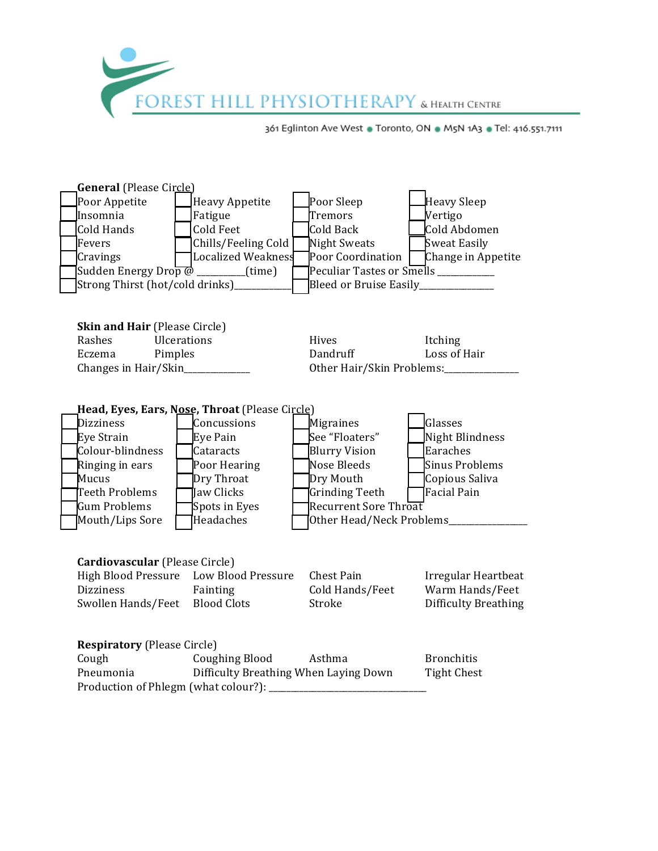

| <b>General</b> (Please Circle)                                           |                                                |                       |                                      |  |  |
|--------------------------------------------------------------------------|------------------------------------------------|-----------------------|--------------------------------------|--|--|
| Poor Appetite                                                            | <b>Heavy Appetite</b>                          | Poor Sleep            | Heavy Sleep                          |  |  |
| Insomnia                                                                 | Fatigue                                        | Tremors               | Vertigo                              |  |  |
| Cold Hands                                                               | Cold Feet                                      | Cold Back             | Cold Abdomen                         |  |  |
| Fevers                                                                   | Chills/Feeling Cold                            | Night Sweats          | <b>Sweat Easily</b>                  |  |  |
| Cravings                                                                 | Localized Weakness                             | Poor Coordination [   | Change in Appetite                   |  |  |
| Sudden Energy Drop $\omega$ ________(time)                               |                                                |                       | Peculiar Tastes or Smells __________ |  |  |
| Strong Thirst (hot/cold drinks)_______                                   |                                                |                       | Bleed or Bruise Easily_____________  |  |  |
|                                                                          |                                                |                       |                                      |  |  |
| <b>Skin and Hair (Please Circle)</b>                                     |                                                |                       |                                      |  |  |
| Ulcerations<br>Rashes                                                    |                                                | Hives<br>Dandruff     | Itching                              |  |  |
| Eczema                                                                   | Pimples                                        |                       | Loss of Hair                         |  |  |
| Changes in Hair/Skin___________                                          |                                                |                       | Other Hair/Skin Problems:_______     |  |  |
|                                                                          |                                                |                       |                                      |  |  |
|                                                                          | Head, Eyes, Ears, Nose, Throat (Please Circle) |                       |                                      |  |  |
| <b>Dizziness</b>                                                         | Concussions                                    | Migraines             | Glasses                              |  |  |
| Eye Strain                                                               | Eye Pain                                       | See "Floaters"        | <b>Night Blindness</b>               |  |  |
| Colour-blindness                                                         | Cataracts                                      | <b>Blurry Vision</b>  | Earaches                             |  |  |
| Ringing in ears                                                          | Poor Hearing                                   | Nose Bleeds           | <b>Sinus Problems</b>                |  |  |
| Mucus                                                                    | Dry Throat                                     | Dry Mouth             | Copious Saliva                       |  |  |
| Teeth Problems                                                           | Jaw Clicks                                     | Grinding Teeth        | Facial Pain                          |  |  |
| Gum Problems                                                             | Spots in Eyes                                  | Recurrent Sore Throat |                                      |  |  |
|                                                                          | Headaches<br>Mouth/Lips Sore                   |                       | Other Head/Neck Problems______       |  |  |
|                                                                          |                                                |                       |                                      |  |  |
| Cardiovascular (Please Circle)                                           |                                                |                       |                                      |  |  |
|                                                                          | High Blood Pressure Low Blood Pressure         | Chest Pain            | Irregular Heartbeat                  |  |  |
| <b>Dizziness</b>                                                         | Fainting                                       | Cold Hands/Feet       | Warm Hands/Feet                      |  |  |
| Swollen Hands/Feet Blood Clots                                           |                                                | Stroke                | <b>Difficulty Breathing</b>          |  |  |
|                                                                          |                                                |                       |                                      |  |  |
| <b>Respiratory (Please Circle)</b>                                       |                                                |                       |                                      |  |  |
| Cough                                                                    | <b>Coughing Blood</b>                          | Asthma                | <b>Bronchitis</b>                    |  |  |
| Pneumonia<br>Difficulty Breathing When Laying Down<br><b>Tight Chest</b> |                                                |                       |                                      |  |  |
|                                                                          |                                                |                       |                                      |  |  |
|                                                                          |                                                |                       |                                      |  |  |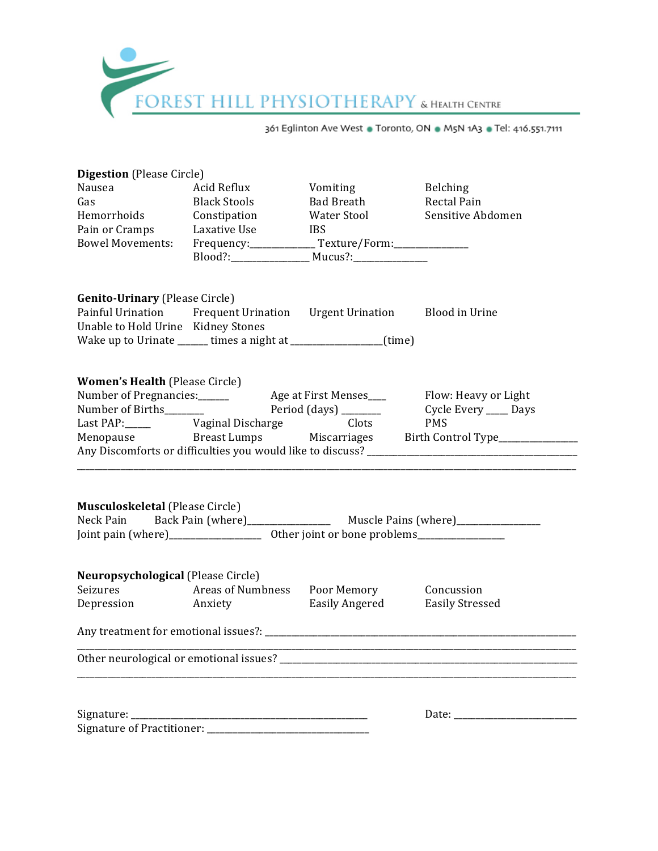

| <b>Digestion</b> (Please Circle)                                                                                                                                                                                                     |                                                                          |                                |                                                        |  |  |  |  |
|--------------------------------------------------------------------------------------------------------------------------------------------------------------------------------------------------------------------------------------|--------------------------------------------------------------------------|--------------------------------|--------------------------------------------------------|--|--|--|--|
| <b>Digestion de la Révolution de la Révolution de la Révolution de la Révolution de la Révolution de la Révolution de la Révolution de la Révolution de la Révolution de la Révolution de la Révolution de la Révolution de la R</b> | Acid Reflux                                                              | Vomiting                       | Belching                                               |  |  |  |  |
|                                                                                                                                                                                                                                      | <b>Black Stools</b>                                                      | Bad Breath                     | <b>Rectal Pain</b>                                     |  |  |  |  |
|                                                                                                                                                                                                                                      | Hemorrhoids Constipation                                                 | Water Stool                    | Sensitive Abdomen                                      |  |  |  |  |
| Pain or Cramps Laxative Use                                                                                                                                                                                                          | <b>IBS</b>                                                               |                                |                                                        |  |  |  |  |
|                                                                                                                                                                                                                                      | Bowel Movements: Frequency: ______________ Texture/Form: _______________ |                                |                                                        |  |  |  |  |
|                                                                                                                                                                                                                                      |                                                                          |                                |                                                        |  |  |  |  |
| <b>Genito-Urinary (Please Circle)</b>                                                                                                                                                                                                |                                                                          |                                |                                                        |  |  |  |  |
|                                                                                                                                                                                                                                      | Painful Urination Frequent Urination Urgent Urination Blood in Urine     |                                |                                                        |  |  |  |  |
| Unable to Hold Urine Kidney Stones                                                                                                                                                                                                   |                                                                          |                                |                                                        |  |  |  |  |
| Wake up to Urinate ______ times a night at __________________(time)                                                                                                                                                                  |                                                                          |                                |                                                        |  |  |  |  |
| <b>Women's Health (Please Circle)</b>                                                                                                                                                                                                |                                                                          |                                |                                                        |  |  |  |  |
|                                                                                                                                                                                                                                      |                                                                          |                                |                                                        |  |  |  |  |
|                                                                                                                                                                                                                                      |                                                                          |                                |                                                        |  |  |  |  |
|                                                                                                                                                                                                                                      | Last PAP: _______ Vaginal Discharge                                      | Clots                          | PMS                                                    |  |  |  |  |
|                                                                                                                                                                                                                                      |                                                                          |                                | Menopause Breast Lumps Miscarriages Birth Control Type |  |  |  |  |
|                                                                                                                                                                                                                                      |                                                                          |                                |                                                        |  |  |  |  |
| <b>Musculoskeletal (Please Circle)</b><br>Neck Pain                                                                                                                                                                                  |                                                                          |                                |                                                        |  |  |  |  |
| Neuropsychological (Please Circle)                                                                                                                                                                                                   |                                                                          |                                |                                                        |  |  |  |  |
| Seizures                                                                                                                                                                                                                             | Areas of Numbness Poor Memory                                            |                                | Concussion                                             |  |  |  |  |
|                                                                                                                                                                                                                                      | Depression Anxiety                                                       | Easily Angered Easily Stressed |                                                        |  |  |  |  |
|                                                                                                                                                                                                                                      |                                                                          |                                |                                                        |  |  |  |  |
|                                                                                                                                                                                                                                      |                                                                          |                                |                                                        |  |  |  |  |
|                                                                                                                                                                                                                                      |                                                                          |                                |                                                        |  |  |  |  |
|                                                                                                                                                                                                                                      |                                                                          |                                |                                                        |  |  |  |  |
|                                                                                                                                                                                                                                      |                                                                          |                                |                                                        |  |  |  |  |